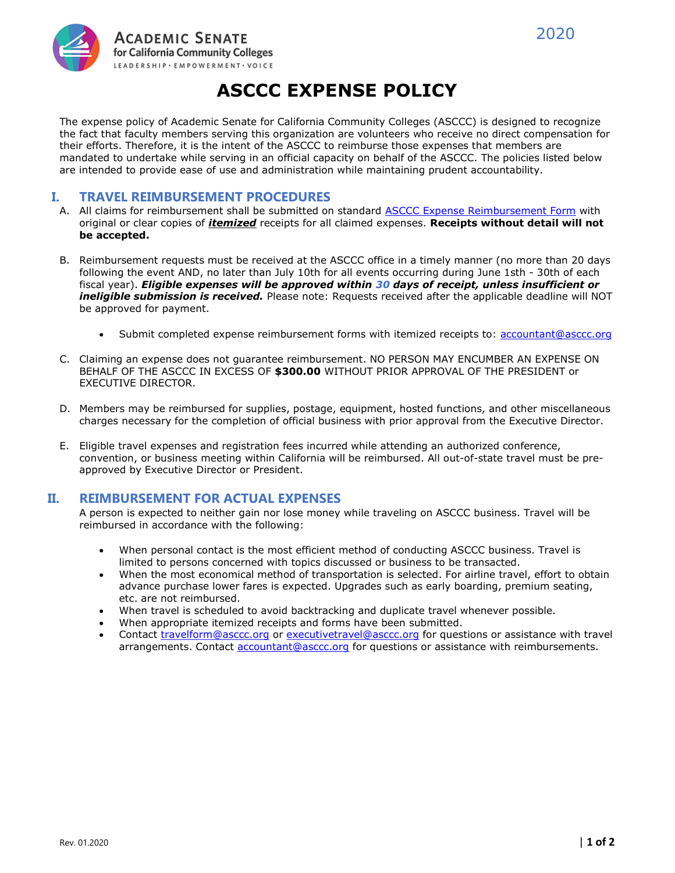



The expense policy of Academic Senate for California Community Colleges (ASCCC) is designed to recognize the fact that faculty members serving this organization are volunteers who receive no direct compensation for their efforts. Therefore, it is the intent of the ASCCC to reimburse those expenses that members are mandated to undertake while serving in an official capacity on behalf of the ASCCC. The policies listed below are intended to provide ease of use and administration while maintaining prudent accountability.

# I. TRAVEL REIMBURSEMENT PROCEDURES

- A. All claims for reimbursement shall be submitted on standard ASCCC Expense Reimbursement Form with original or clear copies of *itemized* receipts for all claimed expenses. Receipts without detail will not be accepted.
- B. Reimbursement requests must be received at the ASCCC office in a timely manner (no more than 20 days following the event AND, no later than July 10th for all events occurring during June 1sth - 30th of each fiscal year). Eligible expenses will be approved within 30 days of receipt, unless insufficient or ineligible submission is received. Please note: Requests received after the applicable deadline will NOT be approved for payment.
	- Submit completed expense reimbursement forms with itemized receipts to: accountant@asccc.org
- C. Claiming an expense does not guarantee reimbursement. NO PERSON MAY ENCUMBER AN EXPENSE ON BEHALF OF THE ASCCC IN EXCESS OF \$300.00 WITHOUT PRIOR APPROVAL OF THE PRESIDENT or EXECUTIVE DIRECTOR.
- D. Members may be reimbursed for supplies, postage, equipment, hosted functions, and other miscellaneous charges necessary for the completion of official business with prior approval from the Executive Director.
- E. Eligible travel expenses and registration fees incurred while attending an authorized conference, convention, or business meeting within California will be reimbursed. All out-of-state travel must be preapproved by Executive Director or President.

## II. REIMBURSEMENT FOR ACTUAL EXPENSES

A person is expected to neither gain nor lose money while traveling on ASCCC business. Travel will be reimbursed in accordance with the following:

- When personal contact is the most efficient method of conducting ASCCC business. Travel is limited to persons concerned with topics discussed or business to be transacted.
- When the most economical method of transportation is selected. For airline travel, effort to obtain advance purchase lower fares is expected. Upgrades such as early boarding, premium seating, etc. are not reimbursed.
- When travel is scheduled to avoid backtracking and duplicate travel whenever possible.
- When appropriate itemized receipts and forms have been submitted.
- Contact travelform@asccc.org or executivetravel@asccc.org for questions or assistance with travel arrangements. Contact accountant@asccc.org for questions or assistance with reimbursements.

2020